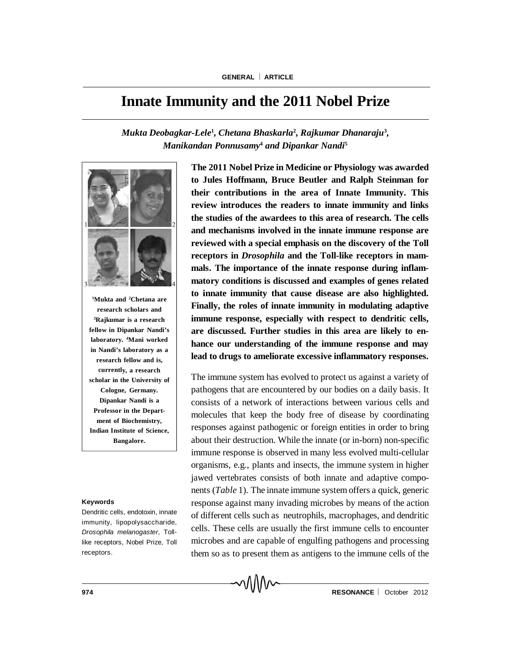# **Innate Immunity and the 2011 Nobel Prize**

# *Mukta Deobagkar-Lele***<sup>1</sup>** *, Chetana Bhaskarla***<sup>2</sup>** *, Rajkumar Dhanaraju***<sup>3</sup>** *, Manikandan Ponnusamy***<sup>4</sup>** *and Dipankar Nandi* **5**



**1 Mukta and <sup>2</sup> Chetana are research scholars and 3 Rajkumar is a research fellow in Dipankar Nandi's laboratory. <sup>4</sup> Mani worked in Nandi's laboratory as a research fellow and is, currently, a research scholar in the University of Cologne, Germany. Dipankar Nandi is a Professor in the Department of Biochemistry, Indian Institute of Science, Bangalore.**

#### **Keywords**

Dendritic cells, endotoxin, innate immunity, lipopolysaccharide, *Drosophila melanogaster*, Tolllike receptors, Nobel Prize, Toll receptors.

**The 2011 Nobel Prize in Medicine or Physiology was awarded to Jules Hoffmann, Bruce Beutler and Ralph Steinman for their contributions in the area of Innate Immunity. This review introduces the readers to innate immunity and links the studies of the awardees to this area of research. The cells and mechanisms involved in the innate immune response are reviewed with a special emphasis on the discovery of the Toll receptors in** *Drosophila* **and the Toll-like receptors in mammals. The importance of the innate response during inflammatory conditions is discussed and examples of genes related to innate immunity that cause disease are also highlighted. Finally, the roles of innate immunity in modulating adaptive immune response, especially with respect to dendritic cells, are discussed. Further studies in this area are likely to enhance our understanding of the immune response and may lead to drugs to ameliorate excessive inflammatory responses.**

The immune system has evolved to protect us against a variety of pathogens that are encountered by our bodies on a daily basis. It consists of a network of interactions between various cells and molecules that keep the body free of disease by coordinating responses against pathogenic or foreign entities in order to bring about their destruction. While the innate (or in-born) non-specific immune response is observed in many less evolved multi-cellular organisms, e.g., plants and insects, the immune system in higher jawed vertebrates consists of both innate and adaptive components (*Table* 1). The innate immune system offers a quick, generic response against many invading microbes by means of the action of different cells such as neutrophils, macrophages, and dendritic cells. These cells are usually the first immune cells to encounter microbes and are capable of engulfing pathogens and processing them so as to present them as antigens to the immune cells of the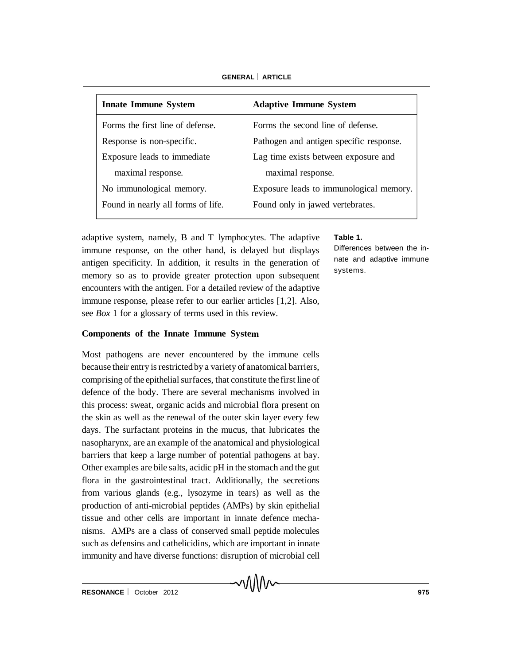| <b>Innate Immune System</b>        | <b>Adaptive Immune System</b>           |  |
|------------------------------------|-----------------------------------------|--|
| Forms the first line of defense.   | Forms the second line of defense.       |  |
| Response is non-specific.          | Pathogen and antigen specific response. |  |
| Exposure leads to immediate        | Lag time exists between exposure and    |  |
| maximal response.                  | maximal response.                       |  |
| No immunological memory.           | Exposure leads to immunological memory. |  |
| Found in nearly all forms of life. | Found only in jawed vertebrates.        |  |
|                                    |                                         |  |

**GENERAL** ¨ **ARTICLE**

adaptive system, namely, B and T lymphocytes. The adaptive immune response, on the other hand, is delayed but displays antigen specificity. In addition, it results in the generation of memory so as to provide greater protection upon subsequent encounters with the antigen. For a detailed review of the adaptive immune response, please refer to our earlier articles [1,2]. Also, see *Box* 1 for a glossary of terms used in this review.

# **Components of the Innate Immune System**

Most pathogens are never encountered by the immune cells because their entry is restricted by a variety of anatomical barriers, comprising of the epithelial surfaces, that constitute the first line of defence of the body. There are several mechanisms involved in this process: sweat, organic acids and microbial flora present on the skin as well as the renewal of the outer skin layer every few days. The surfactant proteins in the mucus, that lubricates the nasopharynx, are an example of the anatomical and physiological barriers that keep a large number of potential pathogens at bay. Other examples are bile salts, acidic pH in the stomach and the gut flora in the gastrointestinal tract. Additionally, the secretions from various glands (e.g., lysozyme in tears) as well as the production of anti-microbial peptides (AMPs) by skin epithelial tissue and other cells are important in innate defence mechanisms. AMPs are a class of conserved small peptide molecules such as defensins and cathelicidins, which are important in innate immunity and have diverse functions: disruption of microbial cell

MM

# **Table 1.**

Differences between the innate and adaptive immune systems.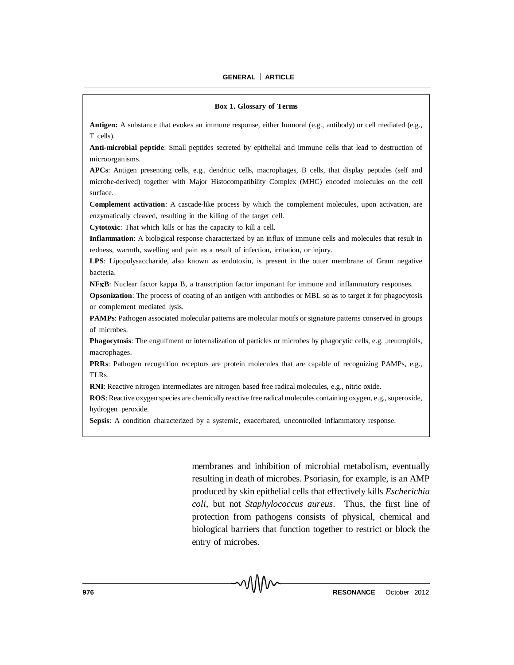#### **Box 1. Glossary of Terms**

**Antigen:** A substance that evokes an immune response, either humoral (e.g., antibody) or cell mediated (e.g., T cells).

**Anti-microbial peptide**: Small peptides secreted by epithelial and immune cells that lead to destruction of microorganisms.

**APCs**: Antigen presenting cells, e.g., dendritic cells, macrophages, B cells, that display peptides (self and microbe-derived) together with Major Histocompatibility Complex (MHC) encoded molecules on the cell surface.

**Complement activation**: A cascade-like process by which the complement molecules, upon activation, are enzymatically cleaved, resulting in the killing of the target cell.

**Cytotoxic**: That which kills or has the capacity to kill a cell.

**Inflammation**: A biological response characterized by an influx of immune cells and molecules that result in redness, warmth, swelling and pain as a result of infection, irritation, or injury.

LPS: Lipopolysaccharide, also known as endotoxin, is present in the outer membrane of Gram negative bacteria.

**NF**N**B**: Nuclear factor kappa B, a transcription factor important for immune and inflammatory responses.

**Opsonization**: The process of coating of an antigen with antibodies or MBL so as to target it for phagocytosis or complement mediated lysis.

**PAMPs**: Pathogen associated molecular patterns are molecular motifs or signature patterns conserved in groups of microbes.

**Phagocytosis**: The engulfment or internalization of particles or microbes by phagocytic cells, e.g. ,neutrophils, macrophages.

**PRRs**: Pathogen recognition receptors are protein molecules that are capable of recognizing PAMPs, e.g., TLRs.

**RNI**: Reactive nitrogen intermediates are nitrogen based free radical molecules, e.g., nitric oxide.

**ROS**: Reactive oxygen species are chemically reactive free radical molecules containing oxygen, e.g., superoxide, hydrogen peroxide.

**Sepsis**: A condition characterized by a systemic, exacerbated, uncontrolled inflammatory response.

membranes and inhibition of microbial metabolism, eventually resulting in death of microbes. Psoriasin, for example, is an AMP produced by skin epithelial cells that effectively kills *Escherichia coli*, but not *Staphylococcus aureus*. Thus, the first line of protection from pathogens consists of physical, chemical and biological barriers that function together to restrict or block the entry of microbes.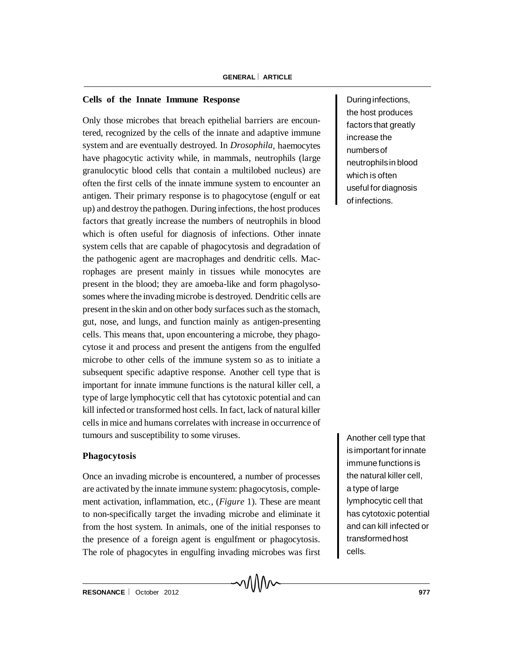#### **Cells of the Innate Immune Response**

Only those microbes that breach epithelial barriers are encountered, recognized by the cells of the innate and adaptive immune system and are eventually destroyed. In *Drosophila*, haemocytes have phagocytic activity while, in mammals, neutrophils (large granulocytic blood cells that contain a multilobed nucleus) are often the first cells of the innate immune system to encounter an antigen. Their primary response is to phagocytose (engulf or eat up) and destroy the pathogen. During infections, the host produces factors that greatly increase the numbers of neutrophils in blood which is often useful for diagnosis of infections. Other innate system cells that are capable of phagocytosis and degradation of the pathogenic agent are macrophages and dendritic cells. Macrophages are present mainly in tissues while monocytes are present in the blood; they are amoeba-like and form phagolysosomes where the invading microbe is destroyed. Dendritic cells are present in the skin and on other body surfaces such as the stomach, gut, nose, and lungs, and function mainly as antigen-presenting cells. This means that, upon encountering a microbe, they phagocytose it and process and present the antigens from the engulfed microbe to other cells of the immune system so as to initiate a subsequent specific adaptive response. Another cell type that is important for innate immune functions is the natural killer cell, a type of large lymphocytic cell that has cytotoxic potential and can kill infected or transformed host cells. In fact, lack of natural killer cells in mice and humans correlates with increase in occurrence of tumours and susceptibility to some viruses.

#### **Phagocytosis**

Once an invading microbe is encountered, a number of processes are activated by the innate immune system: phagocytosis, complement activation, inflammation, etc., (*Figure* 1). These are meant to non-specifically target the invading microbe and eliminate it from the host system. In animals, one of the initial responses to the presence of a foreign agent is engulfment or phagocytosis. The role of phagocytes in engulfing invading microbes was first

During infections, the host produces factors that greatly increase the numbers of neutrophils in blood which is often useful for diagnosis of infections.

Another cell type that is important for innate immune functions is the natural killer cell, a type of large lymphocytic cell that has cytotoxic potential and can kill infected or transformedhost cells.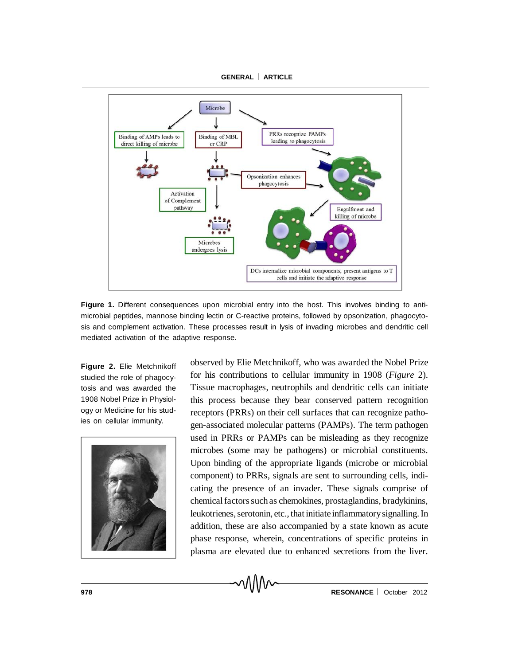**GENERAL** ¨ **ARTICLE**



**Figure 1.** Different consequences upon microbial entry into the host. This involves binding to antimicrobial peptides, mannose binding lectin or C-reactive proteins, followed by opsonization, phagocytosis and complement activation. These processes result in lysis of invading microbes and dendritic cell mediated activation of the adaptive response.

**Figure 2.** Elie Metchnikoff studied the role of phagocytosis and was awarded the 1908 Nobel Prize in Physiology or Medicine for his studies on cellular immunity.



observed by Elie Metchnikoff, who was awarded the Nobel Prize for his contributions to cellular immunity in 1908 (*Figure* 2). Tissue macrophages, neutrophils and dendritic cells can initiate this process because they bear conserved pattern recognition receptors (PRRs) on their cell surfaces that can recognize pathogen-associated molecular patterns (PAMPs). The term pathogen used in PRRs or PAMPs can be misleading as they recognize microbes (some may be pathogens) or microbial constituents. Upon binding of the appropriate ligands (microbe or microbial component) to PRRs, signals are sent to surrounding cells, indicating the presence of an invader. These signals comprise of chemical factors such as chemokines, prostaglandins, bradykinins, leukotrienes, serotonin, etc., that initiate inflammatory signalling. In addition, these are also accompanied by a state known as acute phase response, wherein, concentrations of specific proteins in plasma are elevated due to enhanced secretions from the liver.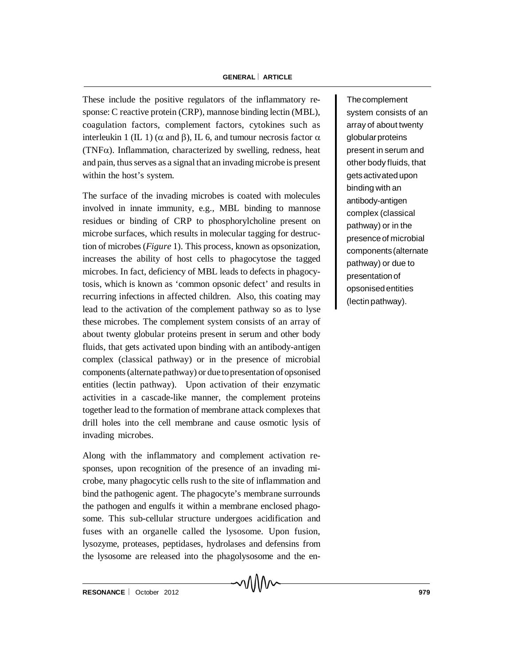These include the positive regulators of the inflammatory response: C reactive protein (CRP), mannose binding lectin (MBL), coagulation factors, complement factors, cytokines such as interleukin 1 (IL 1) ( $\alpha$  and  $\beta$ ), IL 6, and tumour necrosis factor  $\alpha$  $(TNF\alpha)$ . Inflammation, characterized by swelling, redness, heat and pain, thus serves as a signal that an invading microbe is present within the host's system.

The surface of the invading microbes is coated with molecules involved in innate immunity, e.g., MBL binding to mannose residues or binding of CRP to phosphorylcholine present on microbe surfaces, which results in molecular tagging for destruction of microbes (*Figure* 1). This process, known as opsonization, increases the ability of host cells to phagocytose the tagged microbes. In fact, deficiency of MBL leads to defects in phagocytosis, which is known as 'common opsonic defect' and results in recurring infections in affected children. Also, this coating may lead to the activation of the complement pathway so as to lyse these microbes. The complement system consists of an array of about twenty globular proteins present in serum and other body fluids, that gets activated upon binding with an antibody-antigen complex (classical pathway) or in the presence of microbial components (alternate pathway) or dueto presentation of opsonised entities (lectin pathway). Upon activation of their enzymatic activities in a cascade-like manner, the complement proteins together lead to the formation of membrane attack complexes that drill holes into the cell membrane and cause osmotic lysis of invading microbes.

Along with the inflammatory and complement activation responses, upon recognition of the presence of an invading microbe, many phagocytic cells rush to the site of inflammation and bind the pathogenic agent. The phagocyte's membrane surrounds the pathogen and engulfs it within a membrane enclosed phagosome. This sub-cellular structure undergoes acidification and fuses with an organelle called the lysosome. Upon fusion, lysozyme, proteases, peptidases, hydrolases and defensins from the lysosome are released into the phagolysosome and the en-

า\\\\∧

The complement system consists of an array of about twenty globular proteins present in serum and other body fluids, that gets activated upon binding with an antibody-antigen complex (classical pathway) or in the presence of microbial components (alternate pathway) or due to presentation of opsonised entities (lectin pathway).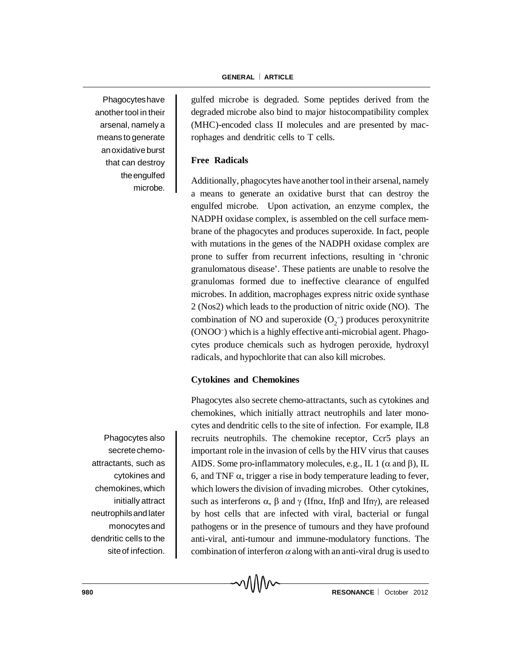Phagocyteshave another tool in their arsenal, namely a means to generate anoxidative burst that can destroy the engulfed microbe.

gulfed microbe is degraded. Some peptides derived from the degraded microbe also bind to major histocompatibility complex (MHC)-encoded class II molecules and are presented by macrophages and dendritic cells to T cells.

# **Free Radicals**

Additionally, phagocytes have another tool intheir arsenal, namely a means to generate an oxidative burst that can destroy the engulfed microbe. Upon activation, an enzyme complex, the NADPH oxidase complex, is assembled on the cell surface membrane of the phagocytes and produces superoxide. In fact, people with mutations in the genes of the NADPH oxidase complex are prone to suffer from recurrent infections, resulting in 'chronic granulomatous disease'. These patients are unable to resolve the granulomas formed due to ineffective clearance of engulfed microbes. In addition, macrophages express nitric oxide synthase 2 (Nos2) which leads to the production of nitric oxide (NO). The combination of NO and superoxide  $(O_2^-)$  produces peroxynitrite (ONOO–) which is a highly effective anti-microbial agent. Phagocytes produce chemicals such as hydrogen peroxide, hydroxyl radicals, and hypochlorite that can also kill microbes.

# **Cytokines and Chemokines**

MM

Phagocytes also secrete chemo-attractants, such as cytokines and chemokines, which initially attract neutrophils and later monocytes and dendritic cells to the site of infection. For example, IL8 recruits neutrophils. The chemokine receptor, Ccr5 plays an important role in the invasion of cells by the HIV virus that causes AIDS. Some pro-inflammatory molecules, e.g., IL 1 ( $\alpha$  and  $\beta$ ), IL 6, and TNF  $\alpha$ , trigger a rise in body temperature leading to fever, which lowers the division of invading microbes. Other cytokines, such as interferons  $\alpha$ ,  $\beta$  and  $\gamma$  (Ifn $\alpha$ , Ifn $\beta$  and Ifn $\gamma$ ), are released by host cells that are infected with viral, bacterial or fungal pathogens or in the presence of tumours and they have profound anti-viral, anti-tumour and immune-modulatory functions. The combination of interferon  $\alpha$  along with an anti-viral drug is used to

Phagocytes also secrete chemoattractants, such as cytokines and chemokines, which initially attract neutrophils and later monocytes and dendritic cells to the site of infection.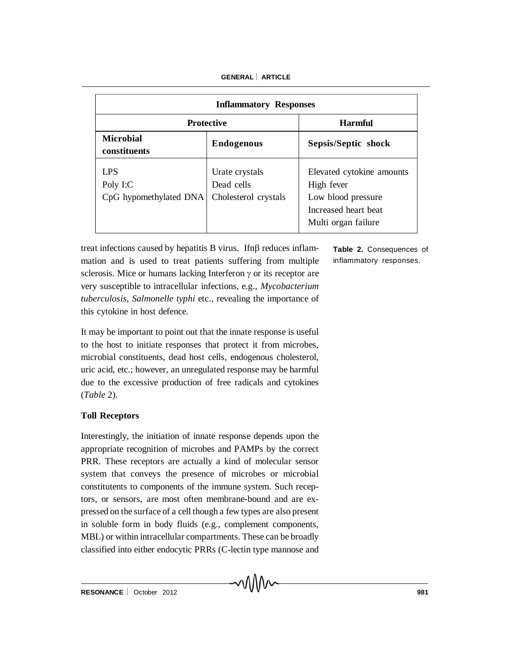| <b>Inflammatory Responses</b>             |                                                      |                                                                                                              |  |  |
|-------------------------------------------|------------------------------------------------------|--------------------------------------------------------------------------------------------------------------|--|--|
| <b>Protective</b>                         |                                                      | Harmful                                                                                                      |  |  |
| <b>Microbial</b><br>constituents          | <b>Endogenous</b>                                    | Sepsis/Septic shock                                                                                          |  |  |
| LPS<br>Poly I:C<br>CpG hypomethylated DNA | Urate crystals<br>Dead cells<br>Cholesterol crystals | Elevated cytokine amounts<br>High fever<br>Low blood pressure<br>Increased heart beat<br>Multi organ failure |  |  |

treat infections caused by hepatitis B virus. Ifn $\beta$  reduces inflammation and is used to treat patients suffering from multiple sclerosis. Mice or humans lacking Interferon  $\gamma$  or its receptor are very susceptible to intracellular infections, e.g., *Mycobacterium tuberculosis*, *Salmonelle typhi* etc., revealing the importance of this cytokine in host defence.

**Table 2.** Consequences of inflammatory responses.

It may be important to point out that the innate response is useful to the host to initiate responses that protect it from microbes, microbial constituents, dead host cells, endogenous cholesterol, uric acid, etc.; however, an unregulated response may be harmful due to the excessive production of free radicals and cytokines (*Table* 2).

# **Toll Receptors**

Interestingly, the initiation of innate response depends upon the appropriate recognition of microbes and PAMPs by the correct PRR. These receptors are actually a kind of molecular sensor system that conveys the presence of microbes or microbial constitutents to components of the immune system. Such receptors, or sensors, are most often membrane-bound and are expressed on the surface of a cell though a few types are also present in soluble form in body fluids (e.g., complement components, MBL) or within intracellular compartments. These can be broadly classified into either endocytic PRRs (C-lectin type mannose and

MM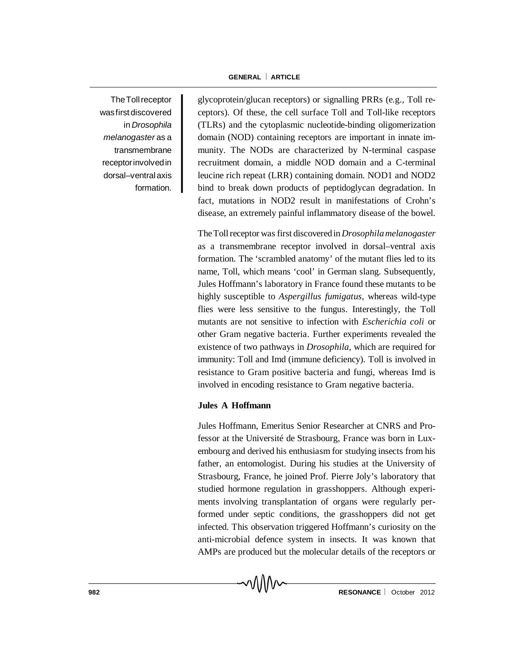TheTollreceptor wasfirst discovered in *Drosophila melanogaster* as a transmembrane receptorinvolvedin dorsal–ventralaxis formation.

glycoprotein/glucan receptors) or signalling PRRs (e.g., Toll receptors). Of these, the cell surface Toll and Toll-like receptors (TLRs) and the cytoplasmic nucleotide-binding oligomerization domain (NOD) containing receptors are important in innate immunity. The NODs are characterized by N-terminal caspase recruitment domain, a middle NOD domain and a C-terminal leucine rich repeat (LRR) containing domain. NOD1 and NOD2 bind to break down products of peptidoglycan degradation. In fact, mutations in NOD2 result in manifestations of Crohn's disease, an extremely painful inflammatory disease of the bowel.

TheToll receptor was first discovered in *Drosophila melanogaster* as a transmembrane receptor involved in dorsal–ventral axis formation. The 'scrambled anatomy' of the mutant flies led to its name, Toll, which means 'cool' in German slang. Subsequently, Jules Hoffmann's laboratory in France found these mutants to be highly susceptible to *Aspergillus fumigatus,* whereas wild-type flies were less sensitive to the fungus. Interestingly, the Toll mutants are not sensitive to infection with *Escherichia coli* or other Gram negative bacteria. Further experiments revealed the existence of two pathways in *Drosophila*, which are required for immunity: Toll and Imd (immune deficiency). Toll is involved in resistance to Gram positive bacteria and fungi, whereas Imd is involved in encoding resistance to Gram negative bacteria.

### **Jules A Hoffmann**

Jules Hoffmann, Emeritus Senior Researcher at CNRS and Professor at the Université de Strasbourg, France was born in Luxembourg and derived his enthusiasm for studying insects from his father, an entomologist. During his studies at the University of Strasbourg, France, he joined Prof. Pierre Joly's laboratory that studied hormone regulation in grasshoppers. Although experiments involving transplantation of organs were regularly performed under septic conditions, the grasshoppers did not get infected. This observation triggered Hoffmann's curiosity on the anti-microbial defence system in insects. It was known that AMPs are produced but the molecular details of the receptors or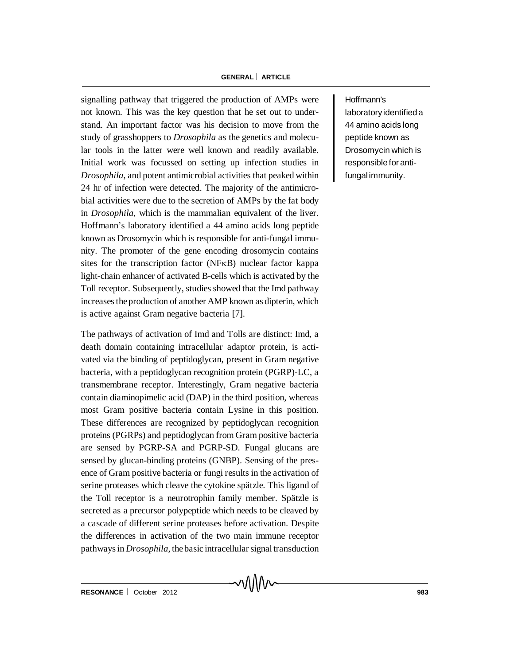signalling pathway that triggered the production of AMPs were not known. This was the key question that he set out to understand. An important factor was his decision to move from the study of grasshoppers to *Drosophila* as the genetics and molecular tools in the latter were well known and readily available. Initial work was focussed on setting up infection studies in *Drosophila*, and potent antimicrobial activities that peaked within 24 hr of infection were detected. The majority of the antimicrobial activities were due to the secretion of AMPs by the fat body in *Drosophila*, which is the mammalian equivalent of the liver. Hoffmann's laboratory identified a 44 amino acids long peptide known as Drosomycin which is responsible for anti-fungal immunity. The promoter of the gene encoding drosomycin contains sites for the transcription factor (NFKB) nuclear factor kappa light-chain enhancer of activated B-cells which is activated by the Toll receptor. Subsequently, studies showed that the Imd pathway increases the production of another AMP known as dipterin, which is active against Gram negative bacteria [7].

The pathways of activation of Imd and Tolls are distinct: Imd, a death domain containing intracellular adaptor protein, is activated via the binding of peptidoglycan, present in Gram negative bacteria, with a peptidoglycan recognition protein (PGRP)-LC, a transmembrane receptor. Interestingly, Gram negative bacteria contain diaminopimelic acid (DAP) in the third position, whereas most Gram positive bacteria contain Lysine in this position. These differences are recognized by peptidoglycan recognition proteins (PGRPs) and peptidoglycan from Gram positive bacteria are sensed by PGRP-SA and PGRP-SD. Fungal glucans are sensed by glucan-binding proteins (GNBP). Sensing of the presence of Gram positive bacteria or fungi results in the activation of serine proteases which cleave the cytokine spätzle. This ligand of the Toll receptor is a neurotrophin family member. Spätzle is secreted as a precursor polypeptide which needs to be cleaved by a cascade of different serine proteases before activation. Despite the differences in activation of the two main immune receptor pathways in *Drosophila*, the basic intracellular signal transduction

MM

Hoffmann's laboratory identified a 44 amino acids long peptide known as Drosomycin which is responsible for antifungal immunity.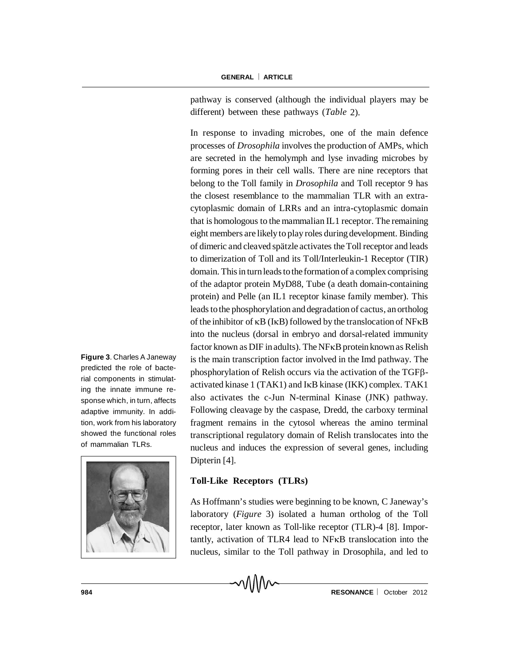pathway is conserved (although the individual players may be different) between these pathways (*Table* 2).

In response to invading microbes, one of the main defence processes of *Drosophila* involves the production of AMPs, which are secreted in the hemolymph and lyse invading microbes by forming pores in their cell walls. There are nine receptors that belong to the Toll family in *Drosophila* and Toll receptor 9 has the closest resemblance to the mammalian TLR with an extracytoplasmic domain of LRRs and an intra-cytoplasmic domain that is homologous to the mammalian IL1 receptor. The remaining eight members are likelyto play roles during development. Binding of dimeric and cleaved spätzle activates the Toll receptor and leads to dimerization of Toll and its Toll/Interleukin-1 Receptor (TIR) domain. This in turnleads tothe formation of a complex comprising of the adaptor protein MyD88, Tube (a death domain-containing protein) and Pelle (an IL1 receptor kinase family member). This leads tothe phosphorylation and degradation of cactus, an ortholog of the inhibitor of  $\kappa$ B (I $\kappa$ B) followed by the translocation of NF $\kappa$ B into the nucleus (dorsal in embryo and dorsal-related immunity factor known as DIF in adults). The NFKB protein known as Relish is the main transcription factor involved in the Imd pathway. The phosphorylation of Relish occurs via the activation of the TGFBactivated kinase  $1 (TAK1)$  and  $I \kappa B$  kinase (IKK) complex. TAK1 also activates the c-Jun N-terminal Kinase (JNK) pathway. Following cleavage by the caspase, Dredd, the carboxy terminal fragment remains in the cytosol whereas the amino terminal transcriptional regulatory domain of Relish translocates into the nucleus and induces the expression of several genes, including Dipterin [4].

### **Toll-Like Receptors (TLRs)**

As Hoffmann's studies were beginning to be known, C Janeway's laboratory (*Figure* 3) isolated a human ortholog of the Toll receptor, later known as Toll-like receptor (TLR)-4 [8]. Importantly, activation of TLR4 lead to NFKB translocation into the nucleus, similar to the Toll pathway in Drosophila, and led to

**Figure 3**. Charles A Janeway predicted the role of bacterial components in stimulating the innate immune response which, in turn, affects adaptive immunity. In addition, work from his laboratory showed the functional roles of mammalian TLRs.

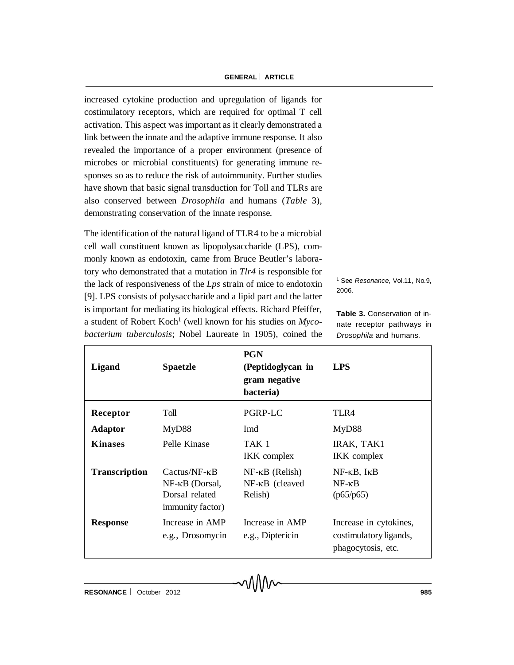increased cytokine production and upregulation of ligands for costimulatory receptors, which are required for optimal T cell activation. This aspect was important as it clearly demonstrated a link between the innate and the adaptive immune response. It also revealed the importance of a proper environment (presence of microbes or microbial constituents) for generating immune responses so as to reduce the risk of autoimmunity. Further studies have shown that basic signal transduction for Toll and TLRs are also conserved between *Drosophila* and humans (*Table* 3), demonstrating conservation of the innate response.

The identification of the natural ligand of TLR4 to be a microbial cell wall constituent known as lipopolysaccharide (LPS), commonly known as endotoxin, came from Bruce Beutler's laboratory who demonstrated that a mutation in *Tlr4* is responsible for the lack of responsiveness of the *Lps* strain of mice to endotoxin [9]. LPS consists of polysaccharide and a lipid part and the latter is important for mediating its biological effects. Richard Pfeiffer, a student of Robert Koch<sup>1</sup> (well known for his studies on *Mycobacterium tuberculosis*; Nobel Laureate in 1905), coined the

<sup>1</sup> See *Resonance*, Vol.11, No.9, 2006.

**Table 3.** Conservation of innate receptor pathways in *Drosophila* and humans.

| Ligand               | <b>Spaetzle</b>                                                        | <b>PGN</b><br>(Peptidoglycan in<br>gram negative<br>bacteria)       | <b>LPS</b>                                                             |
|----------------------|------------------------------------------------------------------------|---------------------------------------------------------------------|------------------------------------------------------------------------|
| Receptor             | Toll                                                                   | PGRP-LC                                                             | TLR4                                                                   |
| <b>Adaptor</b>       | MyD88                                                                  | Imd                                                                 | MyD88                                                                  |
| <b>Kinases</b>       | Pelle Kinase                                                           | TAK 1<br><b>IKK</b> complex                                         | IRAK, TAK1<br><b>IKK</b> complex                                       |
| <b>Transcription</b> | $Cactus/NF-KB$<br>NF-KB (Dorsal,<br>Dorsal related<br>immunity factor) | $NF$ - $\kappa$ B (Relish)<br>NF- <sub>KB</sub> (cleaved<br>Relish) | $NF$ - $\kappa$ B, $I\kappa$ B<br>$NF - \kappa B$<br>(p65/p65)         |
| <b>Response</b>      | Increase in AMP<br>e.g., Drosomycin                                    | Increase in AMP<br>e.g., Diptericin                                 | Increase in cytokines,<br>costimulatory ligands,<br>phagocytosis, etc. |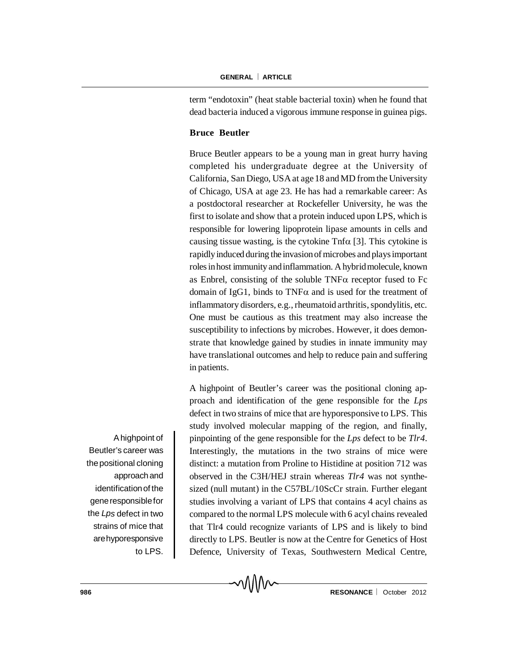term "endotoxin" (heat stable bacterial toxin) when he found that dead bacteria induced a vigorous immune response in guinea pigs.

#### **Bruce Beutler**

Bruce Beutler appears to be a young man in great hurry having completed his undergraduate degree at the University of California, San Diego, USA at age 18 and MD fromthe University of Chicago, USA at age 23. He has had a remarkable career: As a postdoctoral researcher at Rockefeller University, he was the first to isolate and show that a protein induced upon LPS, which is responsible for lowering lipoprotein lipase amounts in cells and causing tissue wasting, is the cytokine  $\text{Trf}\alpha$  [3]. This cytokine is rapidly induced during the invasion of microbes and plays important roles in host immunity andinflammation. A hybridmolecule, known as Enbrel, consisting of the soluble  $TNF\alpha$  receptor fused to Fc domain of IgG1, binds to  $TNF\alpha$  and is used for the treatment of inflammatory disorders, e.g., rheumatoid arthritis, spondylitis, etc. One must be cautious as this treatment may also increase the susceptibility to infections by microbes. However, it does demonstrate that knowledge gained by studies in innate immunity may have translational outcomes and help to reduce pain and suffering in patients.

A highpoint of Beutler's career was the positional cloning approach and identification of the gene responsible for the *Lps* defect in two strains of mice that are hyporesponsive to LPS. This study involved molecular mapping of the region, and finally, pinpointing of the gene responsible for the *Lps* defect to be *Tlr4*. Interestingly, the mutations in the two strains of mice were distinct: a mutation from Proline to Histidine at position 712 was observed in the C3H/HEJ strain whereas *Tlr4* was not synthesized (null mutant) in the C57BL/10ScCr strain. Further elegant studies involving a variant of LPS that contains 4 acyl chains as compared to the normal LPS molecule with 6 acyl chains revealed that Tlr4 could recognize variants of LPS and is likely to bind directly to LPS. Beutler is now at the Centre for Genetics of Host Defence, University of Texas, Southwestern Medical Centre,

MM

Ahighpoint of Beutler's career was the positional cloning approach and identification of the gene responsiblefor the *Lps* defect in two strains of mice that arehyporesponsive to LPS.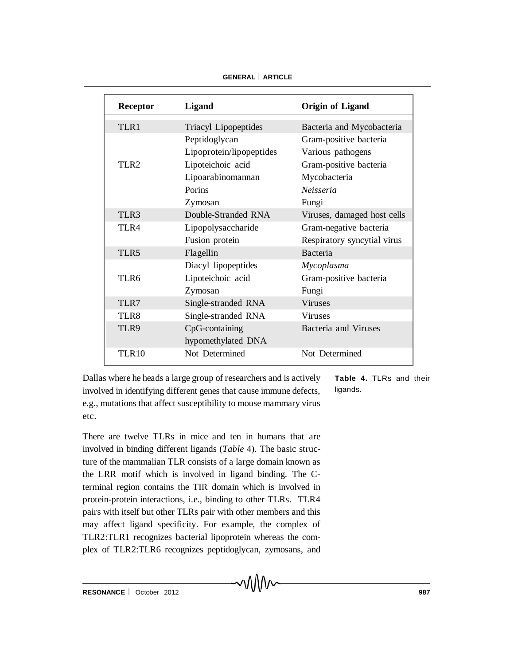**GENERAL** ¨ **ARTICLE**

| Receptor         | <b>Ligand</b>               | <b>Origin of Ligand</b>     |
|------------------|-----------------------------|-----------------------------|
| TLR1             | <b>Triacyl Lipopeptides</b> | Bacteria and Mycobacteria   |
|                  | Peptidoglycan               | Gram-positive bacteria      |
|                  | Lipoprotein/lipopeptides    | Various pathogens           |
| TLR <sub>2</sub> | Lipoteichoic acid           | Gram-positive bacteria      |
|                  | Lipoarabinomannan           | Mycobacteria                |
|                  | Porins                      | Neisseria                   |
|                  | Zymosan                     | Fungi                       |
| TLR3             | Double-Stranded RNA         | Viruses, damaged host cells |
| TLR4             | Lipopolysaccharide          | Gram-negative bacteria      |
|                  | Fusion protein              | Respiratory syncytial virus |
| TLR5             | Flagellin                   | Bacteria                    |
|                  | Diacyl lipopeptides         | Mycoplasma                  |
| TLR6             | Lipoteichoic acid           | Gram-positive bacteria      |
|                  | Zymosan                     | Fungi                       |
| TLR7             | Single-stranded RNA         | Viruses                     |
| TLR8             | Single-stranded RNA         | <b>Viruses</b>              |
| TLR9             | CpG-containing              | Bacteria and Viruses        |
|                  | hypomethylated DNA          |                             |
| TLR10            | Not Determined              | Not Determined              |

Dallas where he heads a large group of researchers and is actively involved in identifying different genes that cause immune defects, e.g., mutations that affect susceptibility to mouse mammary virus etc.

There are twelve TLRs in mice and ten in humans that are involved in binding different ligands (*Table* 4). The basic structure of the mammalian TLR consists of a large domain known as the LRR motif which is involved in ligand binding. The Cterminal region contains the TIR domain which is involved in protein-protein interactions, i.e., binding to other TLRs. TLR4 pairs with itself but other TLRs pair with other members and this may affect ligand specificity. For example, the complex of TLR2:TLR1 recognizes bacterial lipoprotein whereas the complex of TLR2:TLR6 recognizes peptidoglycan, zymosans, and **Table 4.** TLRs and their ligands.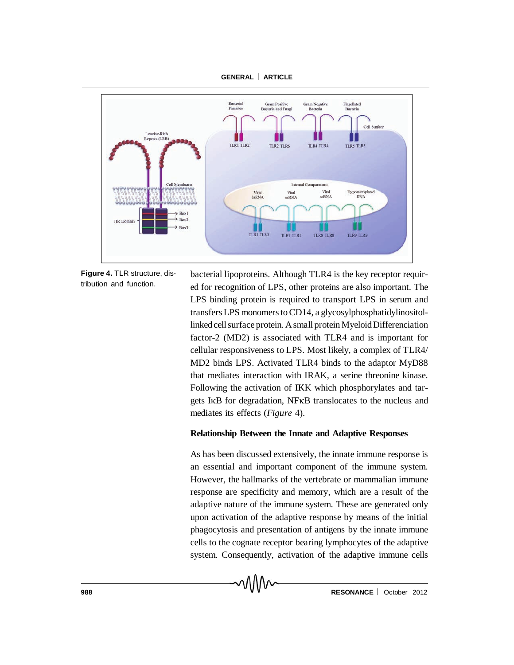

**Figure 4.** TLR structure, distribution and function.

bacterial lipoproteins. Although TLR4 is the key receptor required for recognition of LPS, other proteins are also important. The LPS binding protein is required to transport LPS in serum and transfers LPS monomers to CD14, a glycosylphosphatidylinositollinked cell surface protein. A small protein Myeloid Differenciation factor-2 (MD2) is associated with TLR4 and is important for cellular responsiveness to LPS. Most likely, a complex of TLR4/ MD2 binds LPS. Activated TLR4 binds to the adaptor MyD88 that mediates interaction with IRAK, a serine threonine kinase. Following the activation of IKK which phosphorylates and targets IKB for degradation, NFKB translocates to the nucleus and mediates its effects (*Figure* 4).

#### **Relationship Between the Innate and Adaptive Responses**

As has been discussed extensively, the innate immune response is an essential and important component of the immune system. However, the hallmarks of the vertebrate or mammalian immune response are specificity and memory, which are a result of the adaptive nature of the immune system. These are generated only upon activation of the adaptive response by means of the initial phagocytosis and presentation of antigens by the innate immune cells to the cognate receptor bearing lymphocytes of the adaptive system. Consequently, activation of the adaptive immune cells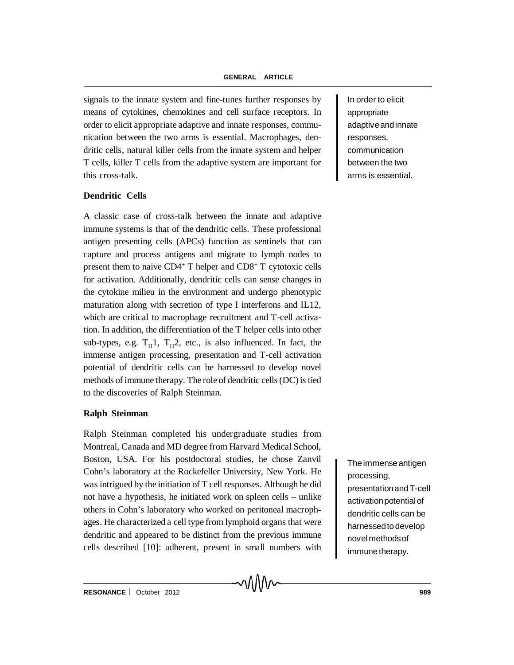signals to the innate system and fine-tunes further responses by means of cytokines, chemokines and cell surface receptors. In order to elicit appropriate adaptive and innate responses, communication between the two arms is essential. Macrophages, dendritic cells, natural killer cells from the innate system and helper T cells, killer T cells from the adaptive system are important for this cross-talk.

# **Dendritic Cells**

A classic case of cross-talk between the innate and adaptive immune systems is that of the dendritic cells. These professional antigen presenting cells (APCs) function as sentinels that can capture and process antigens and migrate to lymph nodes to present them to naive CD4+ T helper and CD8+ T cytotoxic cells for activation. Additionally, dendritic cells can sense changes in the cytokine milieu in the environment and undergo phenotypic maturation along with secretion of type I interferons and IL12, which are critical to macrophage recruitment and T-cell activation. In addition, the differentiation of the T helper cells into other sub-types, e.g.  $T_H1$ ,  $T_H2$ , etc., is also influenced. In fact, the immense antigen processing, presentation and T-cell activation potential of dendritic cells can be harnessed to develop novel methods of immune therapy. The role of dendritic cells (DC) is tied to the discoveries of Ralph Steinman.

### **Ralph Steinman**

Ralph Steinman completed his undergraduate studies from Montreal, Canada and MD degree from Harvard Medical School, Boston, USA. For his postdoctoral studies, he chose Zanvil Cohn's laboratory at the Rockefeller University, New York. He was intrigued by the initiation of T cell responses. Although he did not have a hypothesis, he initiated work on spleen cells – unlike others in Cohn's laboratory who worked on peritoneal macrophages. He characterized a cell type from lymphoid organs that were dendritic and appeared to be distinct from the previous immune cells described [10]: adherent, present in small numbers with In order to elicit appropriate adaptiveandinnate responses, communication between the two arms is essential.

The immense antigen processing, presentation and T-cell activation potential of dendritic cells can be harnessedto develop novelmethodsof immune therapy.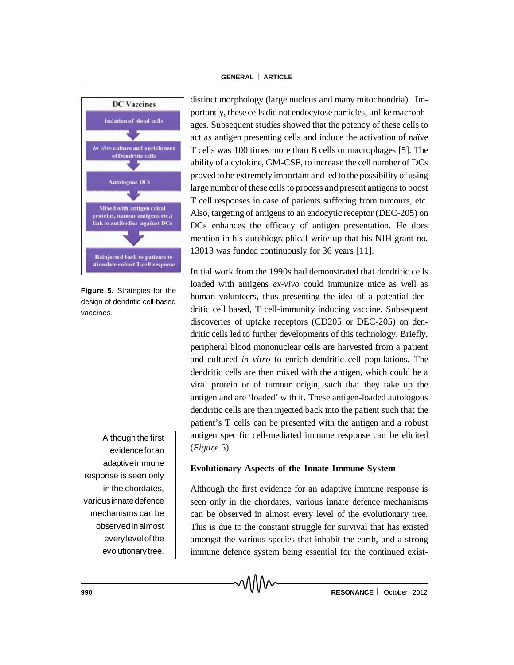

**Figure 5.** Strategies for the design of dendritic cell-based vaccines.

Although the first evidencefor an adaptiveimmune response is seen only in the chordates, variousinnatedefence mechanisms can be observedin almost every level of the evolutionary tree.

distinct morphology (large nucleus and many mitochondria). Importantly, these cells did not endocytose particles, unlike macrophages. Subsequent studies showed that the potency of these cells to act as antigen presenting cells and induce the activation of naïve T cells was 100 times more than B cells or macrophages [5]. The ability of a cytokine, GM-CSF, to increase the cell number of DCs proved to be extremely important and led to the possibility of using large number of these cells to process and present antigens to boost T cell responses in case of patients suffering from tumours, etc. Also, targeting of antigens to an endocytic receptor (DEC-205) on DCs enhances the efficacy of antigen presentation. He does mention in his autobiographical write-up that his NIH grant no. 13013 was funded continuously for 36 years [11].

Initial work from the 1990s had demonstrated that dendritic cells loaded with antigens *ex-vivo* could immunize mice as well as human volunteers, thus presenting the idea of a potential dendritic cell based, T cell-immunity inducing vaccine. Subsequent discoveries of uptake receptors (CD205 or DEC-205) on dendritic cells led to further developments of this technology. Briefly, peripheral blood mononuclear cells are harvested from a patient and cultured *in vitro* to enrich dendritic cell populations. The dendritic cells are then mixed with the antigen, which could be a viral protein or of tumour origin, such that they take up the antigen and are 'loaded' with it. These antigen-loaded autologous dendritic cells are then injected back into the patient such that the patient's T cells can be presented with the antigen and a robust antigen specific cell-mediated immune response can be elicited (*Figure* 5).

#### **Evolutionary Aspects of the Innate Immune System**

Although the first evidence for an adaptive immune response is seen only in the chordates, various innate defence mechanisms can be observed in almost every level of the evolutionary tree. This is due to the constant struggle for survival that has existed amongst the various species that inhabit the earth, and a strong immune defence system being essential for the continued exist-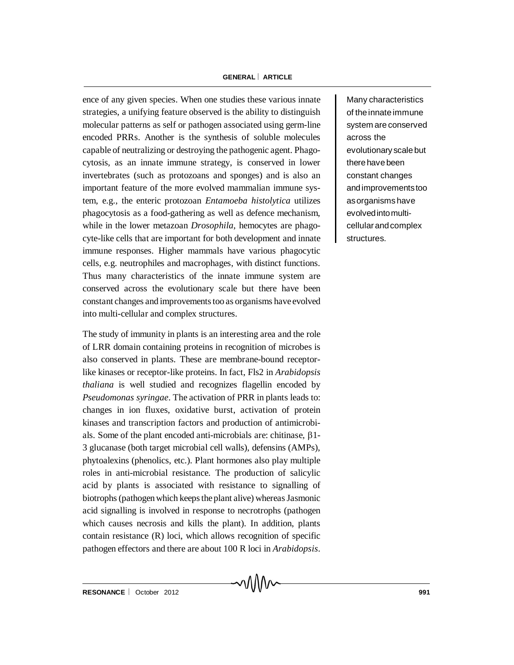ence of any given species. When one studies these various innate strategies, a unifying feature observed is the ability to distinguish molecular patterns as self or pathogen associated using germ-line encoded PRRs. Another is the synthesis of soluble molecules capable of neutralizing or destroying the pathogenic agent. Phagocytosis, as an innate immune strategy, is conserved in lower invertebrates (such as protozoans and sponges) and is also an important feature of the more evolved mammalian immune system, e.g., the enteric protozoan *Entamoeba histolytica* utilizes phagocytosis as a food-gathering as well as defence mechanism, while in the lower metazoan *Drosophila*, hemocytes are phagocyte-like cells that are important for both development and innate immune responses. Higher mammals have various phagocytic cells, e.g. neutrophiles and macrophages, with distinct functions. Thus many characteristics of the innate immune system are conserved across the evolutionary scale but there have been constant changes and improvements too as organisms have evolved into multi-cellular and complex structures.

The study of immunity in plants is an interesting area and the role of LRR domain containing proteins in recognition of microbes is also conserved in plants. These are membrane-bound receptorlike kinases or receptor-like proteins. In fact, Fls2 in *Arabidopsis thaliana* is well studied and recognizes flagellin encoded by *Pseudomonas syringae*. The activation of PRR in plants leads to: changes in ion fluxes, oxidative burst, activation of protein kinases and transcription factors and production of antimicrobials. Some of the plant encoded anti-microbials are: chitinase,  $\beta$ 1-3 glucanase (both target microbial cell walls), defensins (AMPs), phytoalexins (phenolics, etc.). Plant hormones also play multiple roles in anti-microbial resistance. The production of salicylic acid by plants is associated with resistance to signalling of biotrophs (pathogen which keeps the plant alive) whereas Jasmonic acid signalling is involved in response to necrotrophs (pathogen which causes necrosis and kills the plant). In addition, plants contain resistance (R) loci, which allows recognition of specific pathogen effectors and there are about 100 R loci in *Arabidopsis*.

MW

Many characteristics of the innate immune system are conserved across the evolutionary scale but there have been constant changes and improvements too as organisms have evolvedintomulticellular and complex structures.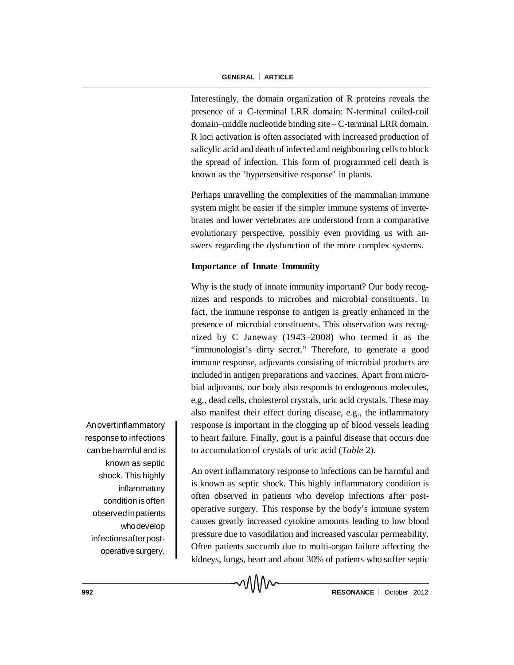Interestingly, the domain organization of R proteins reveals the presence of a C-terminal LRR domain: N-terminal coiled-coil domain–middle nucleotide binding site – C-terminal LRR domain. R loci activation is often associated with increased production of salicylic acid and death of infected and neighbouring cells to block the spread of infection. This form of programmed cell death is known as the 'hypersensitive response' in plants.

Perhaps unravelling the complexities of the mammalian immune system might be easier if the simpler immune systems of invertebrates and lower vertebrates are understood from a comparative evolutionary perspective, possibly even providing us with answers regarding the dysfunction of the more complex systems.

#### **Importance of Innate Immunity**

Why is the study of innate immunity important? Our body recognizes and responds to microbes and microbial constituents. In fact, the immune response to antigen is greatly enhanced in the presence of microbial constituents. This observation was recognized by C Janeway (1943–2008) who termed it as the "immunologist's dirty secret." Therefore, to generate a good immune response, adjuvants consisting of microbial products are included in antigen preparations and vaccines. Apart from microbial adjuvants, our body also responds to endogenous molecules, e.g., dead cells, cholesterol crystals, uric acid crystals. These may also manifest their effect during disease, e.g., the inflammatory response is important in the clogging up of blood vessels leading to heart failure. Finally, gout is a painful disease that occurs due to accumulation of crystals of uric acid (*Table* 2).

An overt inflammatory response to infections can be harmful and is known as septic shock. This highly inflammatory condition is often observed in patients who develop infections after postoperative surgery. This response by the body's immune system causes greatly increased cytokine amounts leading to low blood pressure due to vasodilation and increased vascular permeability. Often patients succumb due to multi-organ failure affecting the kidneys, lungs, heart and about 30% of patients who suffer septic

MM

Anovert inflammatory response to infections can be harmful and is known as septic shock. This highly inflammatory condition is often observedinpatients whodevelop infectionsafter postoperative surgery.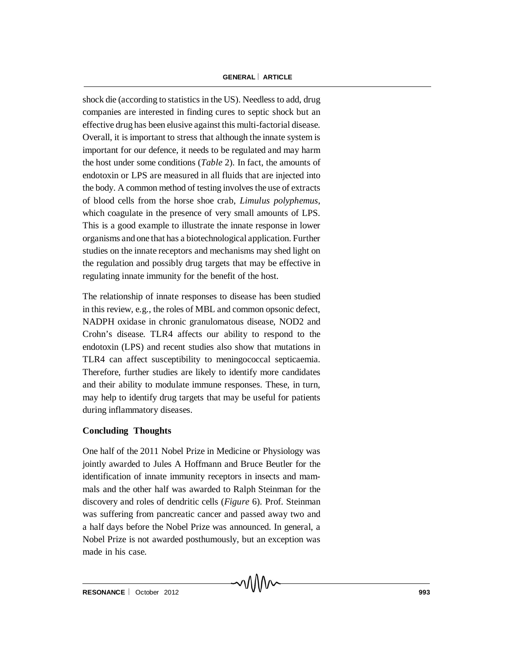shock die (according to statistics in the US). Needless to add, drug companies are interested in finding cures to septic shock but an effective drug has been elusive against this multi-factorial disease. Overall, it is important to stress that although the innate system is important for our defence, it needs to be regulated and may harm the host under some conditions (*Table* 2). In fact, the amounts of endotoxin or LPS are measured in all fluids that are injected into the body. A common method of testing involves the use of extracts of blood cells from the horse shoe crab, *Limulus polyphemus*, which coagulate in the presence of very small amounts of LPS. This is a good example to illustrate the innate response in lower organisms and one that has a biotechnological application. Further studies on the innate receptors and mechanisms may shed light on the regulation and possibly drug targets that may be effective in regulating innate immunity for the benefit of the host.

The relationship of innate responses to disease has been studied in this review, e.g., the roles of MBL and common opsonic defect, NADPH oxidase in chronic granulomatous disease, NOD2 and Crohn's disease. TLR4 affects our ability to respond to the endotoxin (LPS) and recent studies also show that mutations in TLR4 can affect susceptibility to meningococcal septicaemia. Therefore, further studies are likely to identify more candidates and their ability to modulate immune responses. These, in turn, may help to identify drug targets that may be useful for patients during inflammatory diseases.

### **Concluding Thoughts**

One half of the 2011 Nobel Prize in Medicine or Physiology was jointly awarded to Jules A Hoffmann and Bruce Beutler for the identification of innate immunity receptors in insects and mammals and the other half was awarded to Ralph Steinman for the discovery and roles of dendritic cells (*Figure* 6). Prof. Steinman was suffering from pancreatic cancer and passed away two and a half days before the Nobel Prize was announced. In general, a Nobel Prize is not awarded posthumously, but an exception was made in his case.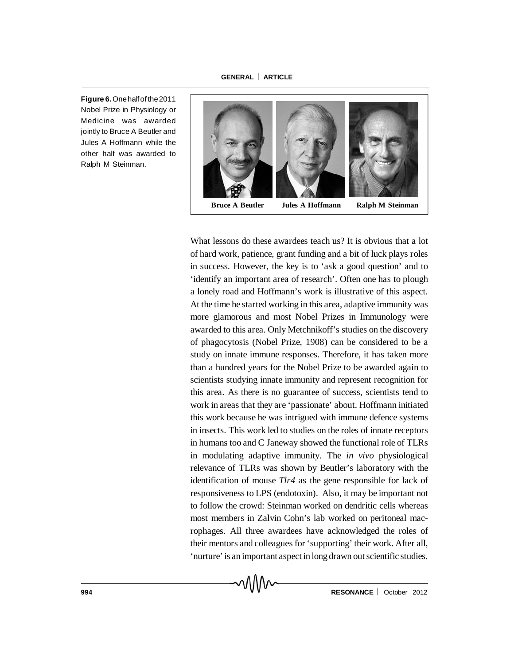**Figure 6.**One half ofthe 2011 Nobel Prize in Physiology or Medicine was awarded jointly to Bruce A Beutler and Jules A Hoffmann while the other half was awarded to Ralph M Steinman.



What lessons do these awardees teach us? It is obvious that a lot of hard work, patience, grant funding and a bit of luck plays roles in success. However, the key is to 'ask a good question' and to 'identify an important area of research'. Often one has to plough a lonely road and Hoffmann's work is illustrative of this aspect. At the time he started working in this area, adaptive immunity was more glamorous and most Nobel Prizes in Immunology were awarded to this area. Only Metchnikoff's studies on the discovery of phagocytosis (Nobel Prize, 1908) can be considered to be a study on innate immune responses. Therefore, it has taken more than a hundred years for the Nobel Prize to be awarded again to scientists studying innate immunity and represent recognition for this area. As there is no guarantee of success, scientists tend to work in areas that they are 'passionate' about. Hoffmann initiated this work because he was intrigued with immune defence systems in insects. This work led to studies on the roles of innate receptors in humans too and C Janeway showed the functional role of TLRs in modulating adaptive immunity. The *in vivo* physiological relevance of TLRs was shown by Beutler's laboratory with the identification of mouse *Tlr4* as the gene responsible for lack of responsiveness to LPS (endotoxin). Also, it may be important not to follow the crowd: Steinman worked on dendritic cells whereas most members in Zalvin Cohn's lab worked on peritoneal macrophages. All three awardees have acknowledged the roles of their mentors and colleagues for 'supporting' their work. After all, 'nurture' is an important aspect in long drawn out scientific studies.